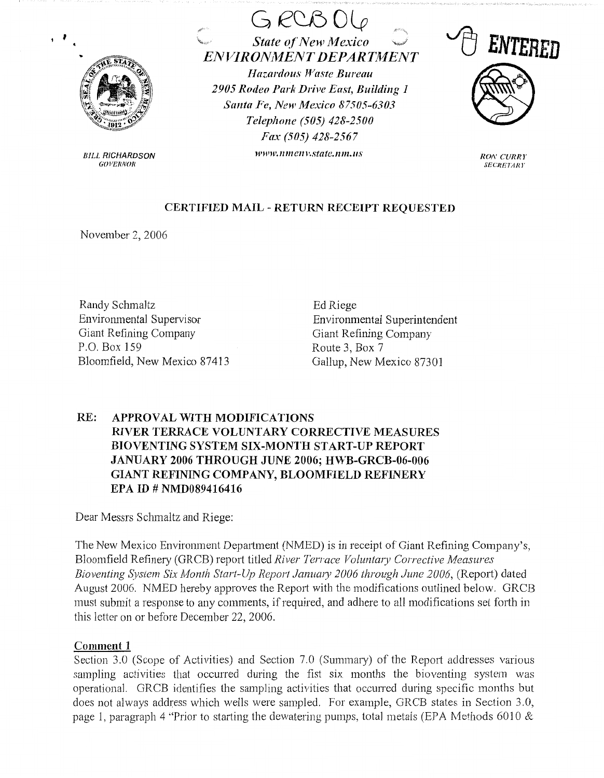

**BILL RICHARDSON GOVERNOR** 

 $G$   $RCB$   $O$  $\begin{array}{ccc}\n\mathcal{L} & \mathcal{L} & \mathcal{L} \\
\hline\n\mathcal{L} & \mathcal{L} & \mathcal{L} \\
\hline\n\mathcal{L} & \mathcal{L} & \mathcal{L} \\
\hline\n\mathcal{L} & \mathcal{L} & \mathcal{L} \\
\hline\n\mathcal{L} & \mathcal{L} & \mathcal{L} \\
\hline\n\mathcal{L} & \mathcal{L} & \mathcal{L} \\
\hline\n\mathcal{L} & \mathcal{L} & \mathcal{L} \\
\hline\n\mathcal{L} & \mathcal{L} & \mathcal{L} \\
\hline\n\mathcal{L} & \mathcal{L$ **State of New Mexico** *Hazardous Waste Bureau 2905 Rodeo Park Drive East, Building 1 Santa Fe, New Mexico 87505-6303 Telephone (505) 428-2500 Fax (505) 428-2567*  **Wlt')l',lllllClll'.State.lllll,l/S** 



*RON CURRY*  **SECRETARY** 

## **CERTIFIED MAIL** - **RETURN RECEIPT REQUESTED**

November 2, 2006

Randy Schmaltz Environmental Supervisor Giant Refining Company P.O. Box 159 Bloomfield, New Mexico 87413

Ed Riege Environmental Superintendent Giant Refining Company Route 3, Box 7 Gallup, New Mexico 87301

# **RE: APPROVAL WITH MODIFICATIONS RIVER TERRACE VOLUNTARY CORRECTIVE MEASURES BIOVENTING SYSTEM SIX-MONTH START-UP REPORT JANUARY 2006 THROUGH JUNE 2006; HWB-GRCB-06-006 GIANT REFINING COMPANY, BLOOMFIELD REFINERY EPA ID# NMD089416416**

Dear Messrs Schmaltz and Riege:

The New Mexico Environment Department (NMED) is in receipt of Giant Refining Company's, Bloomfield Refinery (GRCB) report titled *River Terrace Voluntary Corrective Measures Bioventing System Six Month Start-Up Report Janua,y* 2006 *through June* 2006, (Report) dated August 2006. NMED hereby approves the Report with the modifications outlined below. GRCB must submit a response to any comments, if required, and adhere to all modifications set forth in this letter on or before December 22, 2006.

# **Comment 1**

Section 3.0 (Scope of Activities) and Section 7.0 (Summary) of the Report addresses various sampling activities that occurred during the fist six months the bioventing system was operational. GRCB identifies the sampling activities that occurred during specific months but does not always address which wells were sampled. For example, GRCB states in Section 3.0, page 1, paragraph 4 "Prior to starting the dewatering pumps, total metals (EPA Methods 6010  $\&$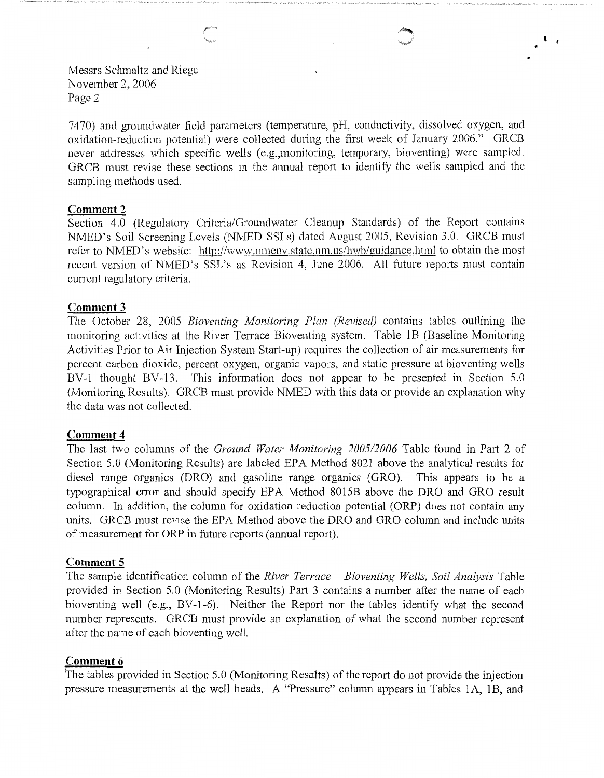' **t** 

Messrs Schmaltz and Riege November 2, 2006 Page 2

7470) and groundwater field parameters (temperature, pH, conductivity, dissolved oxygen, and oxidation-reduction potential) were collected during the first week of January 2006." GRCB never addresses which specific wells (e.g.,monitoring, temporary, bioventing) were sampled. GRCB must revise these sections in the annual report to identify the wells sampled and the sampling methods used.

### **Comment2**

Section 4.0 (Regulatory Criteria/Groundwater Cleanup Standards) of the Report contains NMED's Soil Screening Levels (NMED SSLs) dated August 2005, Revision 3.0. GRCB must refer to NMED's website: http://www.nmenv.state.nm.us/hwb/guidance.html to obtain the most recent version of NMED's SSL's as Revision 4, June 2006. All future reports must contain current regulatory criteria.

## **Comment 3**

The October 28, 2005 *Bioventing Monitoring Plan (Revised)* contains tables outlining the monitoring activities at the River Terrace Bioventing system. Table 1B (Baseline Monitoring Activities Prior to Air Injection System Start-up) requires the collection of air measurements for percent carbon dioxide, percent oxygen, organic vapors, and static pressure at bioventing wells BV-1 thought BV-13. This information does not appear to be presented in Section 5.0 (Monitoring Results). GRCB must provide NMED with this data or provide an explanation why the data was not collected.

#### **Comment 4**

The last two columns of the *Ground Water Monitoring 2005/2006* Table found in Part 2 of Section 5.0 (Monitoring Results) are labeled EPA Method 8021 above the analytical results for diesel range organics (DRO) and gasoline range organics (GRO). This appears to be a typographical error and should specify EPA Method 8015B above the DRO and GRO result column. In addition, the column for oxidation reduction potential (ORP) does not contain any units. GRCB must revise the EPA Method above the DRO and GRO column and include units of measurement for ORP in future reports (annual report).

#### **Comment 5**

The sample identification column of the *River Terrace* - *Bioventing Wells, Soil Analysis* Table provided in Section 5.0 (Monitoring Results) Part 3 contains a number after the name of each bioventing well (e.g., BV-1-6). Neither the Report nor the tables identify what the second number represents. GRCB must provide an explanation of what the second number represent after the name of each bioventing well.

## **Comment 6**

The tables provided in Section 5.0 (Monitoring Results) of the report do not provide the injection pressure measurements at the well heads. A "Pressure" column appears in Tables lA, 1B, and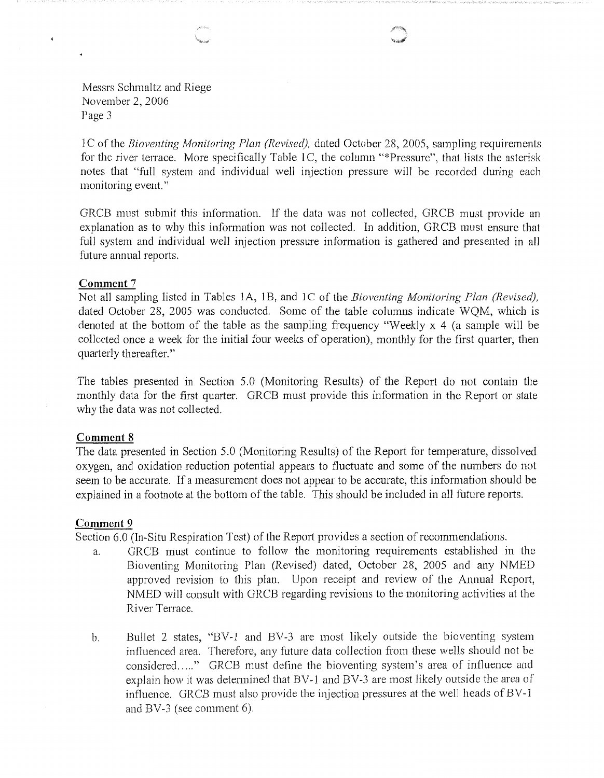Messrs Schmaltz and Riege November 2, 2006 Page 3

] C of the *Bioventing Monitoring Plan (Revised),* dated October 28, 2005, sampling requirements for the river terrace. More specifically Table 1C, the column "\*Pressure", that lists the asterisk notes that "full system and individual well injection pressure will he recorded during each monitoring event."

GRCB must submit this information. If the data was not collected, GRCB must provide an explanation as to why this information was not collected. In addition, GRCB must ensure that full system and individual well injection pressure information is gathered and presented in all future annual reports.

#### **Comment** 7

 $\bullet$ 

Not all sampling listed in Tables 1A, 1B, and 1C of the *Bioventing Monitoring Plan (Revised)*, dated October 28, 2005 was conducted. Some of the table columns indicate WQM, which is denoted at the bottom of the table as the sampling frequency "Weekly x 4 (a sample will be collected once a week for the initial four weeks of operation), monthly for the first quarter, then quarterly thereafter."

The tables presented in Section 5.0 (Monitoring Results) of the Report do not contain the monthly data for the first quarter. GRCB must provide this information in the Report or state why the data was not collected.

#### **Comment 8**

The data presented in Section 5.0 (Monitoring Results) of the Report for temperature, dissolved oxygen, and oxidation reduction potential appears to fluctuate and some of the numbers do not seem to be accurate. If a measurement does not appear to be accurate, this infonnation should be explained in a footnote at the bottom of the table. This should be included in all future reports.

#### **Comment 9**

Section 6.0 (In-Situ Respiration Test) of the Report provides a section of recommendations.

- a. GRCB must continue to follow the monitoring requirements established in the Bioventing Monitoring Plan (Revised) dated, October 28, 2005 and any NMED approved revision to this plan. Upon receipt and review of the Annual Report, NMED will consult with GRCB regarding revisions to the monitoring activities at the River Terrace.
- b. Bullet 2 states, "BV-1 and BV-3 are most likely outside the bioventing system influenced area. Therefore, any future data collection from these wells should not be considered....." GRCB must define the bioventing system's area of influence and explain how it was determined that BV-1 and BV-3 are most likely outside the area of influence. GRCB must also provide the injection pressures at the well heads of BV-1 and BV-3 (see comment 6).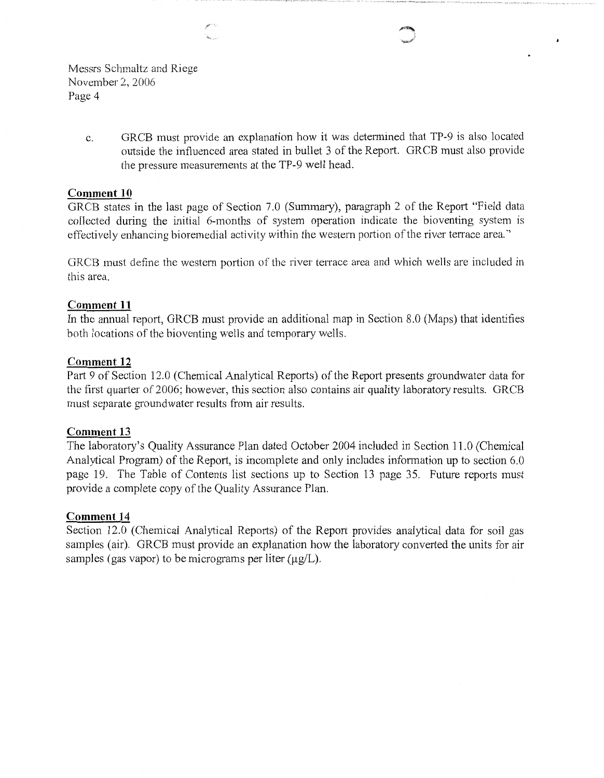Messrs Schmaltz and Riege November 2, 2006 Page 4

> c. GRCB must provide an explanation how it was determined that TP-9 is also located outside the influenced area stated in bullet 3 of the Report. GRCB must also provide the pressure measurements at the TP-9 well head.

## **Comment 10**

GRCB states in the last page of Section 7.0 (Summary), paragraph 2 of the Report "Field data collected during the initial 6-months of system operation indicate the bioventing system 1s effectively enhancing bioremedial activity within the western portion of the river terrace area."

GRCB must define the western portion of the river terrace area and which wells are included in this area.

## **Comment 11**

In the annual report, GRCB must provide an additional map in Section 8.0 (Maps) that identifies both locations of the bioventing wells and temporary wells.

## **Comment 12**

Part 9 of Section 12.0 (Chemical Analytical Reports) of the Report presents groundwater data for the first quarter of 2006; however, this section also contains air quality laboratory results. GRCB must separate groundwater results from air results.

## **Comment 13**

The laboratory's Quality Assurance Plan dated October 2004 included in Section 11.0 (Chemical Analytical Program) of the Report, is incomplete and only includes information up to section 6.0 page 19. The Table of Contents list sections up to Section 13 page 35. Future reports must provide a complete copy of the Quality Assurance Plan.

# **Comment 14**

Section 12.0 (Chemical Analytical Reports) of the Report provides analytical data for soil gas samples (air). GRCB must provide an explanation how the laboratory converted the units for air samples (gas vapor) to be micrograms per liter  $(\mu \varrho/L)$ .